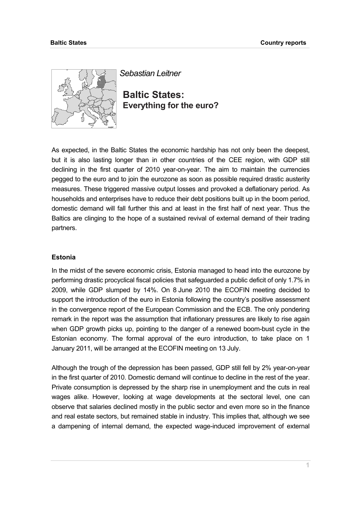

*Sebastian Leitner* 

**Baltic States: Everything for the euro?** 

As expected, in the Baltic States the economic hardship has not only been the deepest, but it is also lasting longer than in other countries of the CEE region, with GDP still declining in the first quarter of 2010 year-on-year. The aim to maintain the currencies pegged to the euro and to join the eurozone as soon as possible required drastic austerity measures. These triggered massive output losses and provoked a deflationary period. As households and enterprises have to reduce their debt positions built up in the boom period, domestic demand will fall further this and at least in the first half of next year. Thus the Baltics are clinging to the hope of a sustained revival of external demand of their trading partners.

# **Estonia**

In the midst of the severe economic crisis, Estonia managed to head into the eurozone by performing drastic procyclical fiscal policies that safeguarded a public deficit of only 1.7% in 2009, while GDP slumped by 14%. On 8 June 2010 the ECOFIN meeting decided to support the introduction of the euro in Estonia following the country's positive assessment in the convergence report of the European Commission and the ECB. The only pondering remark in the report was the assumption that inflationary pressures are likely to rise again when GDP growth picks up, pointing to the danger of a renewed boom-bust cycle in the Estonian economy. The formal approval of the euro introduction, to take place on 1 January 2011, will be arranged at the ECOFIN meeting on 13 July.

Although the trough of the depression has been passed, GDP still fell by 2% year-on-year in the first quarter of 2010. Domestic demand will continue to decline in the rest of the year. Private consumption is depressed by the sharp rise in unemployment and the cuts in real wages alike. However, looking at wage developments at the sectoral level, one can observe that salaries declined mostly in the public sector and even more so in the finance and real estate sectors, but remained stable in industry. This implies that, although we see a dampening of internal demand, the expected wage-induced improvement of external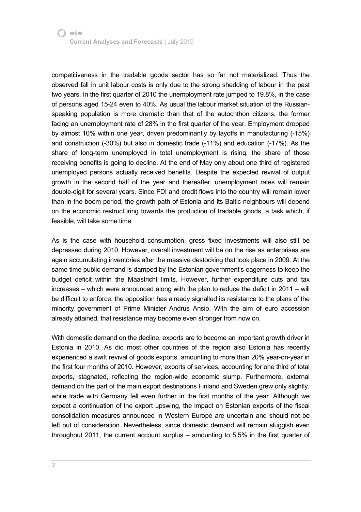competitiveness in the tradable goods sector has so far not materialized. Thus the observed fall in unit labour costs is only due to the strong shedding of labour in the past two years. In the first quarter of 2010 the unemployment rate jumped to 19.8%, in the case of persons aged 15-24 even to 40%. As usual the labour market situation of the Russianspeaking population is more dramatic than that of the autochthon citizens, the former facing an unemployment rate of 28% in the first quarter of the year. Employment dropped by almost 10% within one year, driven predominantly by layoffs in manufacturing (-15%) and construction (-30%) but also in domestic trade (-11%) and education (-17%). As the share of long-term unemployed in total unemployment is rising, the share of those receiving benefits is going to decline. At the end of May only about one third of registered unemployed persons actually received benefits. Despite the expected revival of output growth in the second half of the year and thereafter, unemployment rates will remain double-digit for several years. Since FDI and credit flows into the country will remain lower than in the boom period, the growth path of Estonia and its Baltic neighbours will depend on the economic restructuring towards the production of tradable goods, a task which, if feasible, will take some time.

As is the case with household consumption, gross fixed investments will also still be depressed during 2010. However, overall investment will be on the rise as enterprises are again accumulating inventories after the massive destocking that took place in 2009. At the same time public demand is damped by the Estonian government's eagerness to keep the budget deficit within the Maastricht limits. However, further expenditure cuts and tax increases – which were announced along with the plan to reduce the deficit in 2011 – will be difficult to enforce: the opposition has already signalled its resistance to the plans of the minority government of Prime Minister Andrus Ansip. With the aim of euro accession already attained, that resistance may become even stronger from now on.

With domestic demand on the decline, exports are to become an important growth driver in Estonia in 2010. As did most other countries of the region also Estonia has recently experienced a swift revival of goods exports, amounting to more than 20% year-on-year in the first four months of 2010. However, exports of services, accounting for one third of total exports, stagnated, reflecting the region-wide economic slump. Furthermore, external demand on the part of the main export destinations Finland and Sweden grew only slightly, while trade with Germany fell even further in the first months of the year. Although we expect a continuation of the export upswing, the impact on Estonian exports of the fiscal consolidation measures announced in Western Europe are uncertain and should not be left out of consideration. Nevertheless, since domestic demand will remain sluggish even throughout 2011, the current account surplus – amounting to 5.5% in the first quarter of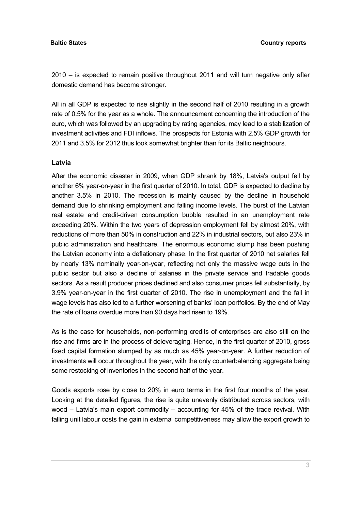2010 – is expected to remain positive throughout 2011 and will turn negative only after domestic demand has become stronger.

All in all GDP is expected to rise slightly in the second half of 2010 resulting in a growth rate of 0.5% for the year as a whole. The announcement concerning the introduction of the euro, which was followed by an upgrading by rating agencies, may lead to a stabilization of investment activities and FDI inflows. The prospects for Estonia with 2.5% GDP growth for 2011 and 3.5% for 2012 thus look somewhat brighter than for its Baltic neighbours.

## **Latvia**

After the economic disaster in 2009, when GDP shrank by 18%, Latvia's output fell by another 6% year-on-year in the first quarter of 2010. In total, GDP is expected to decline by another 3.5% in 2010. The recession is mainly caused by the decline in household demand due to shrinking employment and falling income levels. The burst of the Latvian real estate and credit-driven consumption bubble resulted in an unemployment rate exceeding 20%. Within the two years of depression employment fell by almost 20%, with reductions of more than 50% in construction and 22% in industrial sectors, but also 23% in public administration and healthcare. The enormous economic slump has been pushing the Latvian economy into a deflationary phase. In the first quarter of 2010 net salaries fell by nearly 13% nominally year-on-year, reflecting not only the massive wage cuts in the public sector but also a decline of salaries in the private service and tradable goods sectors. As a result producer prices declined and also consumer prices fell substantially, by 3.9% year-on-year in the first quarter of 2010. The rise in unemployment and the fall in wage levels has also led to a further worsening of banks' loan portfolios. By the end of May the rate of loans overdue more than 90 days had risen to 19%.

As is the case for households, non-performing credits of enterprises are also still on the rise and firms are in the process of deleveraging. Hence, in the first quarter of 2010, gross fixed capital formation slumped by as much as 45% year-on-year. A further reduction of investments will occur throughout the year, with the only counterbalancing aggregate being some restocking of inventories in the second half of the year.

Goods exports rose by close to 20% in euro terms in the first four months of the year. Looking at the detailed figures, the rise is quite unevenly distributed across sectors, with wood – Latvia's main export commodity – accounting for 45% of the trade revival. With falling unit labour costs the gain in external competitiveness may allow the export growth to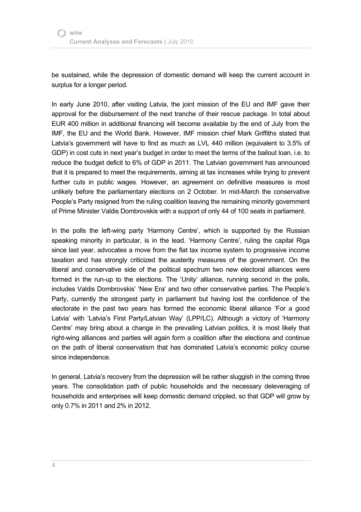be sustained, while the depression of domestic demand will keep the current account in surplus for a longer period.

In early June 2010, after visiting Latvia, the joint mission of the EU and IMF gave their approval for the disbursement of the next tranche of their rescue package. In total about EUR 400 million in additional financing will become available by the end of July from the IMF, the EU and the World Bank. However, IMF mission chief Mark Griffiths stated that Latvia's government will have to find as much as LVL 440 million (equivalent to 3.5% of GDP) in cost cuts in next year's budget in order to meet the terms of the bailout loan, i.e. to reduce the budget deficit to 6% of GDP in 2011. The Latvian government has announced that it is prepared to meet the requirements, aiming at tax increases while trying to prevent further cuts in public wages. However, an agreement on definitive measures is most unlikely before the parliamentary elections on 2 October. In mid-March the conservative People's Party resigned from the ruling coalition leaving the remaining minority government of Prime Minister Valdis Dombrovskis with a support of only 44 of 100 seats in parliament.

In the polls the left-wing party 'Harmony Centre', which is supported by the Russian speaking minority in particular, is in the lead. 'Harmony Centre', ruling the capital Riga since last year, advocates a move from the flat tax income system to progressive income taxation and has strongly criticized the austerity measures of the government. On the liberal and conservative side of the political spectrum two new electoral alliances were formed in the run-up to the elections. The 'Unity' alliance, running second in the polls, includes Valdis Dombrovskis' 'New Era' and two other conservative parties. The People's Party, currently the strongest party in parliament but having lost the confidence of the electorate in the past two years has formed the economic liberal alliance 'For a good Latvia' with 'Latvia's First Party/Latvian Way' (LPP/LC). Although a victory of 'Harmony Centre' may bring about a change in the prevailing Latvian politics, it is most likely that right-wing alliances and parties will again form a coalition after the elections and continue on the path of liberal conservatism that has dominated Latvia's economic policy course since independence.

In general, Latvia's recovery from the depression will be rather sluggish in the coming three years. The consolidation path of public households and the necessary deleveraging of households and enterprises will keep domestic demand crippled, so that GDP will grow by only 0.7% in 2011 and 2% in 2012.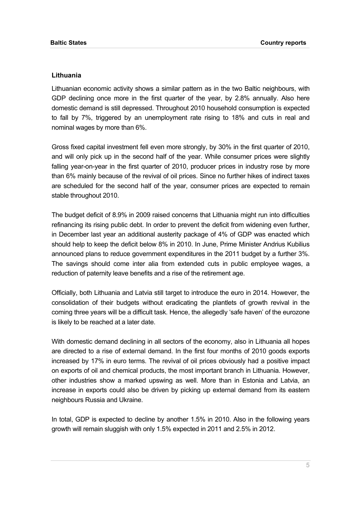## **Lithuania**

Lithuanian economic activity shows a similar pattern as in the two Baltic neighbours, with GDP declining once more in the first quarter of the year, by 2.8% annually. Also here domestic demand is still depressed. Throughout 2010 household consumption is expected to fall by 7%, triggered by an unemployment rate rising to 18% and cuts in real and nominal wages by more than 6%.

Gross fixed capital investment fell even more strongly, by 30% in the first quarter of 2010, and will only pick up in the second half of the year. While consumer prices were slightly falling year-on-year in the first quarter of 2010, producer prices in industry rose by more than 6% mainly because of the revival of oil prices. Since no further hikes of indirect taxes are scheduled for the second half of the year, consumer prices are expected to remain stable throughout 2010.

The budget deficit of 8.9% in 2009 raised concerns that Lithuania might run into difficulties refinancing its rising public debt. In order to prevent the deficit from widening even further, in December last year an additional austerity package of 4% of GDP was enacted which should help to keep the deficit below 8% in 2010. In June, Prime Minister Andrius Kubilius announced plans to reduce government expenditures in the 2011 budget by a further 3%. The savings should come inter alia from extended cuts in public employee wages, a reduction of paternity leave benefits and a rise of the retirement age.

Officially, both Lithuania and Latvia still target to introduce the euro in 2014. However, the consolidation of their budgets without eradicating the plantlets of growth revival in the coming three years will be a difficult task. Hence, the allegedly 'safe haven' of the eurozone is likely to be reached at a later date.

With domestic demand declining in all sectors of the economy, also in Lithuania all hopes are directed to a rise of external demand. In the first four months of 2010 goods exports increased by 17% in euro terms. The revival of oil prices obviously had a positive impact on exports of oil and chemical products, the most important branch in Lithuania. However, other industries show a marked upswing as well. More than in Estonia and Latvia, an increase in exports could also be driven by picking up external demand from its eastern neighbours Russia and Ukraine.

In total, GDP is expected to decline by another 1.5% in 2010. Also in the following years growth will remain sluggish with only 1.5% expected in 2011 and 2.5% in 2012.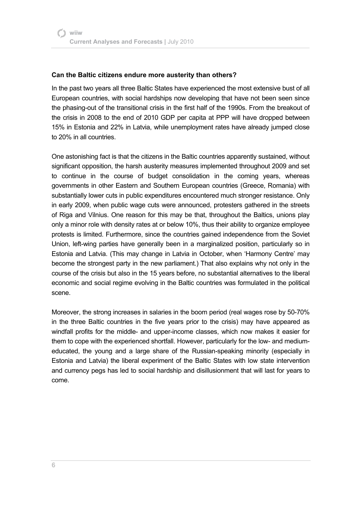# **Can the Baltic citizens endure more austerity than others?**

In the past two years all three Baltic States have experienced the most extensive bust of all European countries, with social hardships now developing that have not been seen since the phasing-out of the transitional crisis in the first half of the 1990s. From the breakout of the crisis in 2008 to the end of 2010 GDP per capita at PPP will have dropped between 15% in Estonia and 22% in Latvia, while unemployment rates have already jumped close to 20% in all countries.

One astonishing fact is that the citizens in the Baltic countries apparently sustained, without significant opposition, the harsh austerity measures implemented throughout 2009 and set to continue in the course of budget consolidation in the coming years, whereas governments in other Eastern and Southern European countries (Greece, Romania) with substantially lower cuts in public expenditures encountered much stronger resistance. Only in early 2009, when public wage cuts were announced, protesters gathered in the streets of Riga and Vilnius. One reason for this may be that, throughout the Baltics, unions play only a minor role with density rates at or below 10%, thus their ability to organize employee protests is limited. Furthermore, since the countries gained independence from the Soviet Union, left-wing parties have generally been in a marginalized position, particularly so in Estonia and Latvia. (This may change in Latvia in October, when 'Harmony Centre' may become the strongest party in the new parliament.) That also explains why not only in the course of the crisis but also in the 15 years before, no substantial alternatives to the liberal economic and social regime evolving in the Baltic countries was formulated in the political scene.

Moreover, the strong increases in salaries in the boom period (real wages rose by 50-70% in the three Baltic countries in the five years prior to the crisis) may have appeared as windfall profits for the middle- and upper-income classes, which now makes it easier for them to cope with the experienced shortfall. However, particularly for the low- and mediumeducated, the young and a large share of the Russian-speaking minority (especially in Estonia and Latvia) the liberal experiment of the Baltic States with low state intervention and currency pegs has led to social hardship and disillusionment that will last for years to come.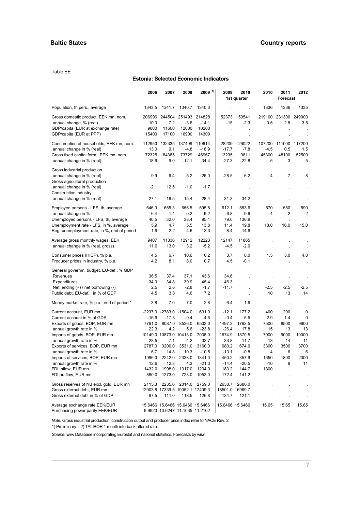#### Table EE

### **Estonia: Selected Economic Indicators**

|                                                                       | 2006            | 2007                    | 2008                                                              | $2009$ <sup>1)</sup> | 2009                 | 2010<br>1st quarter                  | 2010           | 2011<br><b>Forecast</b>     | 2012       |
|-----------------------------------------------------------------------|-----------------|-------------------------|-------------------------------------------------------------------|----------------------|----------------------|--------------------------------------|----------------|-----------------------------|------------|
| Population, th pers., average                                         | 1343.5          | 1341.7                  | 1340.7                                                            | 1340.3               |                      | $\cdot$                              | 1336           | 1336                        | 1335       |
| Gross domestic product, EEK mn, nom.<br>annual change, % (real)       | 206996<br>10.0  | 244504<br>7.2           | 251493<br>$-3.6$                                                  | 214828<br>$-14.1$    | 52373<br>$-15$       | 50541<br>$-2.3$                      | 0.5            | 219100 231300 249000<br>2.5 | 3.5        |
| GDP/capita (EUR at exchange rate)<br>GDP/capita (EUR at PPP)          | 9800<br>15400   | 11600<br>17100          | 12000<br>16900                                                    | 10200<br>14300       | $\lambda$            | $\mathbf{r}$<br>$\ddot{\phantom{0}}$ |                |                             |            |
| Consumption of households, EEK mn, nom.<br>annual change in % (real)  | 112950<br>13.0  | 132335<br>9.1           | 137499<br>$-4.8$                                                  | 110614<br>$-18.9$    | 28209<br>$-17.7$     | 26022<br>$-7.8$                      | 107200<br>-4.5 | 111000 117200<br>0.5        | 1.5        |
| Gross fixed capital form., EEK mn, nom.<br>annual change in % (real)  | 72325<br>18.6   | 84385<br>9.0            | 73729<br>$-12.1$                                                  | 46967<br>$-34.4$     | 13235<br>$-27.3$     | 9811<br>$-22.8$                      | 45300<br>$-5$  | 48100<br>3                  | 52500<br>5 |
| Gross industrial production                                           |                 |                         |                                                                   |                      |                      |                                      |                |                             |            |
| annual change in % (real)<br>Gross agricultural production            | 9.9             | 6.4                     | $-5.2$                                                            | $-26.0$              | $-28.5$              | 6.2                                  | 4              | 7                           | 8          |
| annual change in % (real)<br>Construction industry                    | $-2.1$          | 12.5                    | $-1.0$                                                            | $-1.7$               |                      |                                      |                |                             |            |
| annual change in % (real)                                             | 27.1            | 16.5                    | $-15.4$                                                           | $-28.4$              | $-31.3$              | $-34.2$                              |                |                             |            |
| Employed persons - LFS, th, average<br>annual change in %             | 646.3<br>6.4    | 655.3<br>1.4            | 656.5<br>0.2                                                      | 595.8<br>$-9.2$      | 612.1<br>$-6.8$      | 553.6<br>$-9.6$                      | 570<br>$-4$    | 580<br>2                    | 590<br>2   |
| Unemployed persons - LFS, th, average                                 | 40.5            | 32.0                    | 38.4                                                              | 95.1                 | 79.0                 | 136.9                                |                |                             |            |
| Unemployment rate - LFS, in %, average                                | 5.9             | 4.7                     | 5.5                                                               | 13.8                 | 11.4                 | 19.8                                 | 18.0           | 16.0                        | 15.0       |
| Reg. unemployment rate, in %, end of period                           | 1.9             | 2.2                     | 4.6                                                               | 13.3                 | 8.4                  | 14.6                                 |                |                             |            |
| Average gross monthly wages, EEK<br>annual change in % (real, gross)  | 9407<br>11.6    | 11336<br>13.0           | 12912<br>3.2                                                      | 12223<br>$-5.2$      | 12147<br>$-4.5$      | 11865<br>$-2.6$                      |                |                             |            |
| Consumer prices (HICP), % p.a.<br>Producer prices in industry, % p.a. | 4.5<br>4.2      | 6.7<br>8.1              | 10.6<br>8.0                                                       | 0.2<br>0.7           | 3.7<br>4.5           | 0.0<br>$-0.1$                        | 1.5            | 3.0                         | 4.0        |
| General governm. budget, EU-def., % GDP                               |                 |                         |                                                                   |                      |                      |                                      |                |                             |            |
| Revenues                                                              | 36.5            | 37.4                    | 37.1                                                              | 43.6                 | 34.6                 | $\blacksquare$                       |                |                             |            |
| Expenditures                                                          | 34.0            | 34.8                    | 39.9                                                              | 45.4                 | 46.3                 |                                      |                |                             |            |
| Net lending $(+)$ / net borrowing $(-)$                               | 2.5             | 2.6                     | $-2.8$                                                            | $-1.7$               | $-11.7$              |                                      | $-2.5$         | $-2.5$                      | $-2.5$     |
| Public debt, EU-def., in % of GDP                                     | 4.5             | 3.8                     | 4.6                                                               | 7.2                  | $\ddot{\phantom{a}}$ | ä,                                   | 10             | 13                          | 14         |
| Money market rate, $%$ p.a., end of period $2)$                       | 3.8             | 7.0                     | 7.0                                                               | 2.8                  | 6.4                  | 1.6                                  |                |                             |            |
| Current account, EUR mn                                               | $-16.9$         | -2237.0 -2783.0 -1504.0 |                                                                   | 631.0                | $-12.1$<br>$-0.4$    | 177.2<br>5.5                         | 400            | 200                         | 0          |
| Current account in % of GDP<br>Exports of goods, BOP, EUR mn          | 7761.0          | $-17.8$<br>8087.0       | $-9.4$<br>8536.0                                                  | 4.6<br>6503.0        | 1497.3               | 1763.5                               | 2.9<br>7500    | 1.4<br>8500                 | 0<br>9600  |
| annual growth rate in %                                               | 22.3            | 4.2                     | 5.6                                                               | $-23.8$              | $-26.4$              | 17.8                                 | 15             | 13                          | 13         |
| Imports of goods, BOP, EUR mn                                         |                 | 10149.0 10873.0 10413.0 |                                                                   | 7008.0               | 1674.9               | 1870.5                               | 7900           | 9000                        | 10000      |
| annual growth rate in %                                               | 28.5            | 7.1                     | $-4.2$                                                            | $-32.7$              | $-33.8$              | 11.7                                 | 13             | 14                          | 11         |
| Exports of services, BOP, EUR mn                                      | 2787.0          | 3200.0                  | 3531.0                                                            | 3160.0               | 680.2                | 674.6                                | 3300           | 3500                        | 3700       |
| annual growth rate in %                                               | 6.7             | 14.8                    | 10.3                                                              | $-10.5$              | $-10.1$              | $-0.8$                               | 4              | 6                           | 6          |
| Imports of services, BOP, EUR mn                                      | 1996.0          | 2242.0                  | 2338.0                                                            | 1841.0               | 450.2                | 357.9                                | 1650           | 1800                        | 2000       |
| annual growth rate in %                                               | 12.6            | 12.3                    | 4.3                                                               | $-21.3$              | -14.4                | $-20.5$                              | -10            | 9                           | 11         |
| FDI inflow, EUR mn<br>FDI outflow, EUR mn                             | 1432.0<br>880.0 | 1998.0<br>1273.0        | 1317.0<br>723.0                                                   | 1204.0<br>1053.0     | 183.2<br>172.4       | 144.7<br>141.2                       | 1300           |                             |            |
| Gross reserves of NB excl. gold, EUR mn                               | 2115.3          | 2235.6                  | 2814.0                                                            | 2759.0               | 2638.7               | 2686.0                               |                |                             |            |
| Gross external debt, EUR mn                                           |                 |                         | 12903.8 17339.5 19052.1 17409.3                                   |                      |                      | 18501.0 16969.7                      |                |                             |            |
| Gross external debt in % of GDP                                       | 97.5            | 111.0                   | 118.5                                                             | 126.8                | 134.7                | 121.1                                |                |                             |            |
| Average exchange rate EEK/EUR<br>Purchasing power parity EEK/EUR      |                 |                         | 15.6466 15.6466 15.6466 15.6466<br>9.9923 10.6247 11.1035 11.2102 |                      |                      | 15.6466 15.6466                      | 15.65          | 15.65                       | 15.65      |

*Note:* Gross industrial production, construction output and producer price index refer to NACE Rev. 2. 1) Preliminary. - 2) TALIBOR 1 month interbank offered rate.

*Source:* wiiw Database incorporating Eurostat and national statistics. Forecasts by wiiw.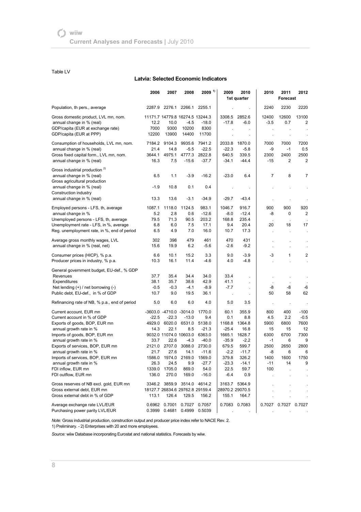#### Table LV

#### **Latvia: Selected Economic Indicators**

|                                               | 2006    | 2007                    | 2008                            | $2009$ <sup>1)</sup>        | 2009            | 2010<br>1st quarter | 2010    | 2011<br><b>Forecast</b> | 2012                        |
|-----------------------------------------------|---------|-------------------------|---------------------------------|-----------------------------|-----------------|---------------------|---------|-------------------------|-----------------------------|
| Population, th pers., average                 | 2287.9  | 2276.1                  | 2266.1                          | 2255.1                      |                 |                     | 2240    | 2230                    | 2220                        |
| Gross domestic product, LVL mn, nom.          |         |                         | 11171.7 14779.8 16274.5 13244.3 |                             | 3308.5          | 2852.6              | 12400   | 12600                   | 13100                       |
| annual change in % (real)                     | 12.2    | 10.0                    | $-4.5$                          | $-18.0$                     | $-17.8$         | $-6.0$              | $-3.5$  | 0.7                     | 2                           |
| GDP/capita (EUR at exchange rate)             | 7000    | 9300                    | 10200                           | 8300                        |                 |                     |         |                         |                             |
| GDP/capita (EUR at PPP)                       | 12200   | 13900                   | 14400                           | 11700                       |                 |                     |         |                         |                             |
| Consumption of households, LVL mn, nom.       | 7184.2  | 9104.3                  | 9935.6                          | 7941.2                      | 2033.8          | 1870.0              | 7000    | 7000                    | 7200                        |
| annual change in % (real)                     | 21.4    | 14.8                    | $-5.5$                          | $-22.5$                     | $-22.3$         | $-5.8$              | -9      | $-1$                    | 0.5                         |
| Gross fixed capital form., LVL mn, nom.       | 3644.1  | 4975.1                  | 4777.3                          | 2822.8                      | 640.5           | 339.5               | 2300    | 2400                    | 2500                        |
| annual change in % (real)                     | 16.3    | 7.5                     | $-15.6$                         | $-37.7$                     | $-34.1$         | $-44.4$             | $-15$   | 2                       | 2                           |
| Gross industrial production <sup>2)</sup>     |         |                         |                                 |                             |                 |                     |         |                         |                             |
| annual change in % (real)                     | 6.5     | 1.1                     | $-3.9$                          | $-16.2$                     | $-23.0$         | 6.4                 | 7       | 8                       | 7                           |
| Gross agricultural production                 |         |                         |                                 |                             |                 |                     |         |                         |                             |
| annual change in % (real)                     | $-1.9$  | 10.8                    | 0.1                             | 0.4                         |                 |                     |         |                         |                             |
| Construction industry                         |         |                         |                                 |                             |                 |                     |         |                         |                             |
| annual change in % (real)                     | 13.3    | 13.6                    | $-3.1$                          | $-34.9$                     | $-29.7$         | $-43.4$             |         |                         |                             |
| Employed persons - LFS, th, average           | 1087.1  | 1118.0                  | 1124.5                          | 983.1                       | 1046.7          | 916.7               | 900     | 900                     | 920                         |
| annual change in %                            | 5.2     | 2.8                     | 0.6                             | $-12.6$                     | $-8.0$          | $-12.4$             | -8      | 0                       | 2                           |
| Unemployed persons - LFS, th, average         | 79.5    | 71.3                    | 90.5                            | 203.2                       | 168.8           | 235.4               |         |                         |                             |
| Unemployment rate - LFS, in %, average        | 6.8     | 6.0                     | 7.5                             | 17.1                        | 9.4             | 20.4                | 20      | 18                      | 17                          |
| Reg. unemployment rate, in %, end of period   | 6.5     | 4.9                     | 7.0                             | 16.0                        | 10.7            | 17.3                |         |                         |                             |
| Average gross monthly wages, LVL              | 302     | 398                     | 479                             | 461                         | 470             | 431                 |         |                         |                             |
| annual change in % (real, net)                | 15.6    | 19.9                    | 6.2                             | $-5.6$                      | $-2.6$          | $-9.2$              |         | ł.                      |                             |
| Consumer prices (HICP), % p.a.                | 6.6     | 10.1                    | 15.2                            | 3.3                         | 9.0             | $-3.9$              | -3      | $\mathbf{1}$            | 2                           |
| Producer prices in industry, % p.a.           | 10.3    | 16.1                    | 11.4                            | -4.6                        | 4.0             | $-4.8$              |         | ÷,                      | $\mathcal{L}_{\mathcal{A}}$ |
| General government budget, EU-def., % GDP     |         |                         |                                 |                             |                 |                     |         |                         |                             |
| Revenues                                      | 37.7    | 35.4                    | 34.4                            | 34.0                        | 33.4            | $\mathbf{r}$        | $\cdot$ | $\cdot$                 |                             |
| Expenditures                                  | 38.1    | 35.7                    | 38.6                            | 42.9                        | 41.1            |                     |         |                         |                             |
| Net lending $(+)$ / net borrowing $(-)$       | $-0.5$  | $-0.3$                  | $-4.1$                          | $-8.9$                      | $-7.7$          | ä,                  | -8      | -8                      | -6                          |
| Public debt, EU-def., in % of GDP             | 10.7    | 9.0                     | 19.5                            | 36.1                        |                 | $\cdot$             | 50      | 58                      | 62                          |
| Refinancing rate of NB, % p.a., end of period | 5.0     | 6.0                     | 6.0                             | 4.0                         | 5.0             | 3.5                 | $\cdot$ | $\cdot$                 |                             |
| Current account, EUR mn                       |         | -3603.0 -4710.0 -3014.0 |                                 | 1770.0                      | 60.1            | 355.9               | 800     | 400                     | $-100$                      |
| Current account in % of GDP                   | $-22.5$ | $-22.3$                 | $-13.0$                         | 9.4                         | 0.1             | 8.8                 | 4.5     | 2.2                     | $-0.5$                      |
| Exports of goods, BOP, EUR mn                 | 4929.0  |                         | 6020.0 6531.0                   | 5138.0                      | 1168.8          | 1364.8              | 5900    | 6800                    | 7600                        |
| annual growth rate in %                       | 14.3    | 22.1                    | 8.5                             | $-21.3$                     | $-25.4$         | 16.8                | 15      | 15                      | 12                          |
| Imports of goods, BOP, EUR mn                 |         |                         | 9032.0 11074.0 10603.0          | 6363.0                      | 1665.1          | 1628.7              | 6300    | 6700                    | 7300                        |
| annual growth rate in %                       | 33.7    | 22.6                    | $-4.3$                          | $-40.0$                     | $-35.9$         | $-2.2$              | $-1$    | 6                       | 9                           |
| Exports of services, BOP, EUR mn              | 2121.0  | 2707.0                  | 3088.0                          | 2730.0                      | 679.5           | 599.7               | 2500    | 2650                    | 2800                        |
| annual growth rate in %                       | 21.7    | 27.6                    | 14.1                            | $-11.6$                     | $-2.2$          | $-11.7$             | -8      | 6                       | 6                           |
| Imports of services, BOP, EUR mn              | 1586.0  |                         | 1974.0 2169.0                   | 1569.0                      | 379.8           | 326.2               | 1400    | 1600                    | 1750                        |
| annual growth rate in %                       | 26.3    | 24.5                    | 9.9                             | $-27.7$                     | $-23.3$         | $-14.1$             | $-11$   | 14                      | 9                           |
| FDI inflow, EUR mn                            | 1339.0  | 1705.0                  | 869.0                           | 54.0                        | 22.5            | 59.7                | 100     |                         |                             |
| FDI outflow, EUR mn                           | 136.0   | 270.0                   | 169.0                           | $-16.0$                     | $-6.4$          | 0.9                 |         |                         |                             |
| Gross reserves of NB excl. gold, EUR mn       |         |                         |                                 | 3346.2 3859.9 3514.0 4614.2 |                 | 3163.7 5364.9       |         |                         |                             |
| Gross external debt, EUR mn                   |         |                         | 18127.7 26834.6 29762.8 29159.4 |                             | 28970.2 29070.5 |                     |         |                         |                             |
| Gross external debt in % of GDP               | 113.1   | 126.4                   | 129.5                           | 156.2                       | 155.1           | 164.7               |         |                         |                             |
| Average exchange rate LVL/EUR                 |         | 0.6962 0.7001           | 0.7027                          | 0.7057                      |                 | 0.7083 0.7083       |         | 0.7027 0.7027 0.7027    |                             |
| Purchasing power parity LVL/EUR               |         |                         | 0.3999  0.4681  0.4999  0.5039  |                             |                 |                     |         |                         |                             |

*Note:* Gross industrial production, construction output and producer price index refer to NACE Rev. 2.

1) Preliminary. - 2) Enterprises with 20 and more employees.

*Source:* wiiw Database incorporating Eurostat and national statistics. Forecasts by wiiw.